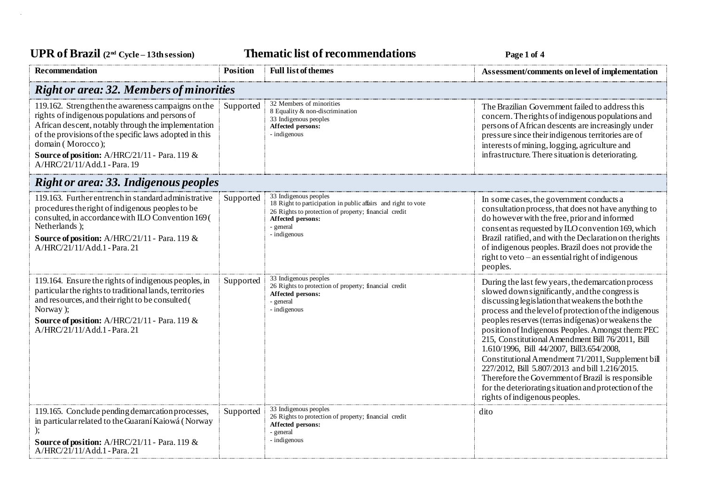UPR of Brazil  $(2^{nd} \text{ Cycle} - 13th \text{ session})$  **Thematic list of recommendations Page 1** of 4

| Recommendation                                                                                                                                                                                                                                                                                                               | <b>Position</b> | <b>Full list of themes</b>                                                                                                                                                                        | Assessment/comments on level of implementation                                                                                                                                                                                                                                                                                                                                                                                                                                                                                                                                                                                                                                      |  |  |  |
|------------------------------------------------------------------------------------------------------------------------------------------------------------------------------------------------------------------------------------------------------------------------------------------------------------------------------|-----------------|---------------------------------------------------------------------------------------------------------------------------------------------------------------------------------------------------|-------------------------------------------------------------------------------------------------------------------------------------------------------------------------------------------------------------------------------------------------------------------------------------------------------------------------------------------------------------------------------------------------------------------------------------------------------------------------------------------------------------------------------------------------------------------------------------------------------------------------------------------------------------------------------------|--|--|--|
| <b>Right or area: 32. Members of minorities</b>                                                                                                                                                                                                                                                                              |                 |                                                                                                                                                                                                   |                                                                                                                                                                                                                                                                                                                                                                                                                                                                                                                                                                                                                                                                                     |  |  |  |
| 119.162. Strengthen the awareness campaigns on the<br>rights of indigenous populations and persons of<br>African descent, notably through the implementation<br>of the provisions of the specific laws adopted in this<br>domain (Morocco);<br>Source of position: A/HRC/21/11 - Para. 119 &<br>A/HRC/21/11/Add.1 - Para. 19 | Supported       | 32 Members of minorities<br>8 Equality & non-discrimination<br>33 Indigenous peoples<br>Affected persons:<br>- indigenous                                                                         | The Brazilian Government failed to address this<br>concern. The rights of indigenous populations and<br>persons of African descents are increasingly under<br>pressure since their indigenous territories are of<br>interests of mining, logging, agriculture and<br>infrastructure. There situation is deteriorating.                                                                                                                                                                                                                                                                                                                                                              |  |  |  |
| <b>Right or area: 33. Indigenous peoples</b>                                                                                                                                                                                                                                                                                 |                 |                                                                                                                                                                                                   |                                                                                                                                                                                                                                                                                                                                                                                                                                                                                                                                                                                                                                                                                     |  |  |  |
| 119.163. Further entrench in standard administrative<br>procedures the right of indigenous peoples to be<br>consulted, in accordance with ILO Convention 169 (<br>Netherlands);<br>Source of position: A/HRC/21/11 - Para. 119 &<br>A/HRC/21/11/Add.1 - Para. 21                                                             | Supported       | 33 Indigenous peoples<br>18 Right to participation in public affairs and right to vote<br>26 Rights to protection of property; financial credit<br>Affected persons:<br>- general<br>- indigenous | In some cases, the government conducts a<br>consultation process, that does not have anything to<br>do however with the free, prior and informed<br>consent as requested by ILO convention 169, which<br>Brazil ratified, and with the Declaration on the rights<br>of indigenous peoples. Brazil does not provide the<br>right to veto – an essential right of indigenous<br>peoples.                                                                                                                                                                                                                                                                                              |  |  |  |
| 119.164. Ensure the rights of indigenous peoples, in<br>particular the rights to traditional lands, territories<br>and resources, and their right to be consulted (<br>Norway);<br>Source of position: A/HRC/21/11 - Para. 119 &<br>A/HRC/21/11/Add.1 - Para. 21                                                             | Supported       | 33 Indigenous peoples<br>26 Rights to protection of property; financial credit<br>Affected persons:<br>- general<br>- indigenous                                                                  | During the last few years, the demarcation process<br>slowed down significantly, and the congress is<br>discussing legislation that weakens the both the<br>process and the level of protection of the indigenous<br>peoples reserves (terras indígenas) or weakens the<br>position of Indigenous Peoples. Amongst them: PEC<br>215, Constitutional Amendment Bill 76/2011, Bill<br>1.610/1996, Bill 44/2007, Bill3.654/2008,<br>Constitutional Amendment 71/2011, Supplement bill<br>227/2012, Bill 5.807/2013 and bill 1.216/2015.<br>Therefore the Government of Brazil is responsible<br>for the deteriorating situation and protection of the<br>rights of indigenous peoples. |  |  |  |
| 119.165. Conclude pending demarcation processes,<br>in particular related to the Guaraní Kaiowá (Norway<br>Source of position: A/HRC/21/11 - Para. 119 &<br>A/HRC/21/11/Add.1 - Para. 21                                                                                                                                     | Supported       | 33 Indigenous peoples<br>26 Rights to protection of property; financial credit<br>Affected persons:<br>- general<br>- indigenous                                                                  | dito                                                                                                                                                                                                                                                                                                                                                                                                                                                                                                                                                                                                                                                                                |  |  |  |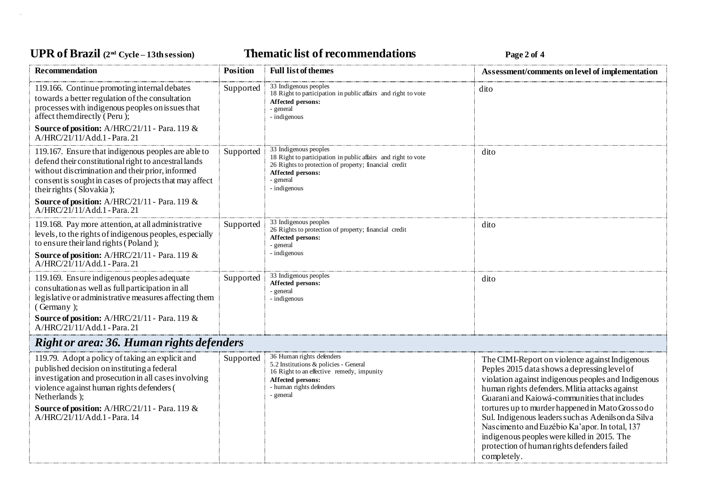# **UPR of Brazil (2nd Cycle – 13th session) Thematic list of recommendations Page 2 of 4**

| Recommendation                                                                                                                                                                                                                                                                                                 | <b>Position</b> | <b>Full list of themes</b>                                                                                                                                                                        | Assessment/comments on level of implementation                                                                                                                                                                                                                                                                                                                                                                                                                                                                                   |  |  |
|----------------------------------------------------------------------------------------------------------------------------------------------------------------------------------------------------------------------------------------------------------------------------------------------------------------|-----------------|---------------------------------------------------------------------------------------------------------------------------------------------------------------------------------------------------|----------------------------------------------------------------------------------------------------------------------------------------------------------------------------------------------------------------------------------------------------------------------------------------------------------------------------------------------------------------------------------------------------------------------------------------------------------------------------------------------------------------------------------|--|--|
| 119.166. Continue promoting internal debates<br>towards a better regulation of the consultation<br>processes with indigenous peoples on issues that<br>affect themdirectly (Peru);                                                                                                                             | Supported       | 33 Indigenous peoples<br>18 Right to participation in public affairs and right to vote<br>Affected persons:<br>- general<br>- indigenous                                                          | dito                                                                                                                                                                                                                                                                                                                                                                                                                                                                                                                             |  |  |
| Source of position: A/HRC/21/11 - Para. 119 &<br>A/HRC/21/11/Add.1 - Para. 21                                                                                                                                                                                                                                  |                 |                                                                                                                                                                                                   |                                                                                                                                                                                                                                                                                                                                                                                                                                                                                                                                  |  |  |
| 119.167. Ensure that indigenous peoples are able to<br>defend their constitutional right to ancestral lands<br>without discrimination and their prior, informed<br>consent is sought in cases of projects that may affect<br>their rights (Slovakia);                                                          | Supported       | 33 Indigenous peoples<br>18 Right to participation in public affairs and right to vote<br>26 Rights to protection of property; financial credit<br>Affected persons:<br>- general<br>- indigenous | dito                                                                                                                                                                                                                                                                                                                                                                                                                                                                                                                             |  |  |
| Source of position: A/HRC/21/11 - Para. 119 &<br>$A/HRC/21/11/Add.1$ - Para, 21                                                                                                                                                                                                                                |                 |                                                                                                                                                                                                   |                                                                                                                                                                                                                                                                                                                                                                                                                                                                                                                                  |  |  |
| 119.168. Pay more attention, at all administrative<br>levels, to the rights of indigenous peoples, especially<br>to ensure their land rights $\bar{Q}$ Poland :<br>Source of position: A/HRC/21/11 - Para. 119 &                                                                                               | Supported       | 33 Indigenous peoples<br>26 Rights to protection of property; financial credit<br>Affected persons:<br>- general<br>- indigenous                                                                  | dito                                                                                                                                                                                                                                                                                                                                                                                                                                                                                                                             |  |  |
| $A/HRC/21/11/Add.1$ - Para. 21                                                                                                                                                                                                                                                                                 |                 |                                                                                                                                                                                                   |                                                                                                                                                                                                                                                                                                                                                                                                                                                                                                                                  |  |  |
| 119.169. Ensure indigenous peoples adequate<br>consultation as well as full participation in all<br>legislative or administrative measures affecting them<br>(Germany);                                                                                                                                        | Supported       | 33 Indigenous peoples<br>Affected persons:<br>- general<br>- indigenous                                                                                                                           | dito                                                                                                                                                                                                                                                                                                                                                                                                                                                                                                                             |  |  |
| Source of position: A/HRC/21/11 - Para. 119 &<br>A/HRC/21/11/Add.1 - Para. 21                                                                                                                                                                                                                                  |                 |                                                                                                                                                                                                   |                                                                                                                                                                                                                                                                                                                                                                                                                                                                                                                                  |  |  |
| Right or area: 36. Human rights defenders                                                                                                                                                                                                                                                                      |                 |                                                                                                                                                                                                   |                                                                                                                                                                                                                                                                                                                                                                                                                                                                                                                                  |  |  |
| 119.79. Adopt a policy of taking an explicit and<br>published decision on instituting a federal<br>investigation and prosecution in all cases involving<br>violence against human rights defenders (<br>Netherlands );<br><b>Source of position:</b> A/HRC/21/11 - Para. 119 &<br>A/HRC/21/11/Add.1 - Para. 14 | Supported       | 36 Human rights defenders<br>5.2 Institutions & policies - General<br>16 Right to an effective remedy, impunity<br>Affected persons:<br>- human rights defenders<br>- general                     | The CIMI-Report on violence against Indigenous<br>Peples 2015 data shows a depressing level of<br>violation against indigenous peoples and Indigenous<br>human rights defenders. Mlitia attacks against<br>Guarani and Kaiowá-communities that includes<br>tortures up to murder happened in Mato Grosso do<br>Sul. Indigenous leaders such as Adenils on da Silva<br>Nascimento and Euzébio Ka'apor. In total, 137<br>indigenous peoples were killed in 2015. The<br>protection of human rights defenders failed<br>completely. |  |  |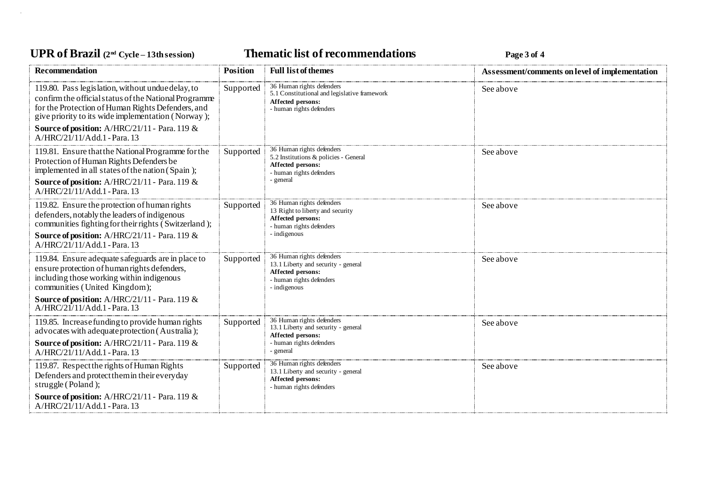# **UPR of Brazil (2nd Cycle – 13th session) Thematic list of recommendations Page 3 of 4**

| <b>Recommendation</b>                                                                                                                                                                                                 | <b>Position</b> | <b>Full list of themes</b>                                                                                                      | Assessment/comments on level of implementation |
|-----------------------------------------------------------------------------------------------------------------------------------------------------------------------------------------------------------------------|-----------------|---------------------------------------------------------------------------------------------------------------------------------|------------------------------------------------|
| 119.80. Pass legislation, without undue delay, to<br>confirm the official status of the National Programme<br>for the Protection of Human Rights Defenders, and<br>give priority to its wide implementation (Norway); | Supported       | 36 Human rights defenders<br>5.1 Constitutional and legislative framework<br>Affected persons:<br>- human rights defenders      | See above                                      |
| <b>Source of position:</b> A/HRC/21/11 - Para. 119 &<br>A/HRC/21/11/Add.1 - Para. 13                                                                                                                                  |                 |                                                                                                                                 |                                                |
| 119.81. Ensure that the National Programme for the<br>Protection of Human Rights Defenders be<br>implemented in all states of the nation (Spain);                                                                     | Supported       | 36 Human rights defenders<br>5.2 Institutions & policies - General<br>Affected persons:<br>- human rights defenders             | See above                                      |
| Source of position: A/HRC/21/11 - Para. 119 &<br>A/HRC/21/11/Add.1 - Para. 13                                                                                                                                         |                 | general                                                                                                                         |                                                |
| 119.82. Ensure the protection of human rights<br>defenders, notably the leaders of indigenous<br>communities fighting for their rights $\bar{C}$ Switzerland :                                                        | Supported       | 36 Human rights defenders<br>13 Right to liberty and security<br>Affected persons:<br>human rights defenders                    | See above                                      |
| Source of position: A/HRC/21/11 - Para. 119 &<br>A/HRC/21/11/Add.1 - Para. 13                                                                                                                                         |                 | indigenous                                                                                                                      |                                                |
| 119.84. Ensure adequate safeguards are in place to<br>ensure protection of human rights defenders,<br>including those working within indigenous<br>communities (United Kingdom);                                      | Supported       | 36 Human rights defenders<br>13.1 Liberty and security - general<br>Affected persons:<br>- human rights defenders<br>indigenous | See above                                      |
| <b>Source of position:</b> $A/HRC/21/11$ - Para. 119 &<br>A/HRC/21/11/Add.1 - Para. 13                                                                                                                                |                 |                                                                                                                                 |                                                |
| 119.85. Increase funding to provide human rights<br>advocates with adequate protection (Australia);                                                                                                                   | Supported       | 36 Human rights defenders<br>13.1 Liberty and security - general<br>Affected persons:                                           | See above                                      |
| <b>Source of position:</b> A/HRC/21/11 - Para. 119 &<br>A/HRC/21/11/Add.1 - Para. 13                                                                                                                                  |                 | human rights defenders<br>general                                                                                               |                                                |
| 119.87. Respect the rights of Human Rights<br>Defenders and protect them in their everyday<br>struggle (Poland);                                                                                                      | Supported       | 36 Human rights defenders<br>13.1 Liberty and security - general<br>Affected persons:<br>- human rights defenders               | See above                                      |
| <b>Source of position:</b> A/HRC/21/11 - Para. 119 &<br>A/HRC/21/11/Add.1 - Para. 13                                                                                                                                  |                 |                                                                                                                                 |                                                |